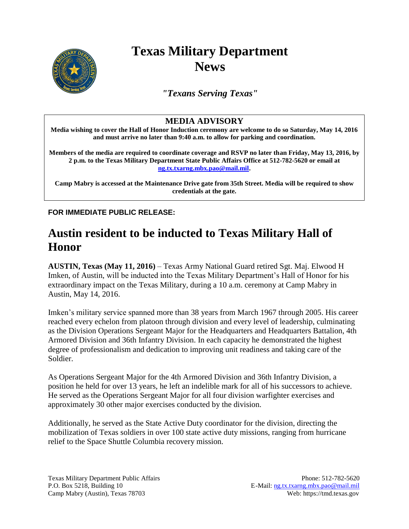

## **Texas Military Department News**

*"Texans Serving Texas"*

## **MEDIA ADVISORY**

**Media wishing to cover the Hall of Honor Induction ceremony are welcome to do so Saturday, May 14, 2016 and must arrive no later than 9:40 a.m. to allow for parking and coordination.**

**Members of the media are required to coordinate coverage and RSVP no later than Friday, May 13, 2016, by 2 p.m. to the Texas Military Department State Public Affairs Office at 512-782-5620 or email at [ng.tx.txarng.mbx.pao@mail.mil.](mailto:ng.tx.txarng.mbx.pao@mail.mil)**

**Camp Mabry is accessed at the Maintenance Drive gate from 35th Street. Media will be required to show credentials at the gate.**

**FOR IMMEDIATE PUBLIC RELEASE:**

## **Austin resident to be inducted to Texas Military Hall of Honor**

**AUSTIN, Texas (May 11, 2016)** – Texas Army National Guard retired Sgt. Maj. Elwood H Imken, of Austin, will be inducted into the Texas Military Department's Hall of Honor for his extraordinary impact on the Texas Military, during a 10 a.m. ceremony at Camp Mabry in Austin, May 14, 2016.

Imken's military service spanned more than 38 years from March 1967 through 2005. His career reached every echelon from platoon through division and every level of leadership, culminating as the Division Operations Sergeant Major for the Headquarters and Headquarters Battalion, 4th Armored Division and 36th Infantry Division. In each capacity he demonstrated the highest degree of professionalism and dedication to improving unit readiness and taking care of the Soldier.

As Operations Sergeant Major for the 4th Armored Division and 36th Infantry Division, a position he held for over 13 years, he left an indelible mark for all of his successors to achieve. He served as the Operations Sergeant Major for all four division warfighter exercises and approximately 30 other major exercises conducted by the division.

Additionally, he served as the State Active Duty coordinator for the division, directing the mobilization of Texas soldiers in over 100 state active duty missions, ranging from hurricane relief to the Space Shuttle Columbia recovery mission.